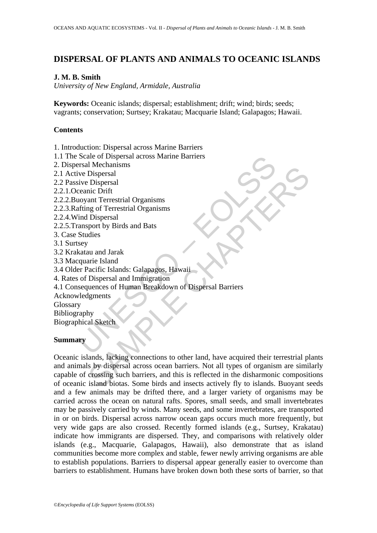## **DISPERSAL OF PLANTS AND ANIMALS TO OCEANIC ISLANDS**

### **J. M. B. Smith**

*University of New England, Armidale, Australia* 

**Keywords:** Oceanic islands; dispersal; establishment; drift; wind; birds; seeds; vagrants; conservation; Surtsey; Krakatau; Macquarie Island; Galapagos; Hawaii.

### **Contents**

1. Introduction: Dispersal across Marine Barriers

- 1.1 The Scale of Dispersal across Marine Barriers
- 2. Dispersal Mechanisms
- 2.1 Active Dispersal
- 2.2 Passive Dispersal
- 2.2.1.Oceanic Drift
- 2.2.2.Buoyant Terrestrial Organisms
- 2.2.3.Rafting of Terrestrial Organisms
- 2.2.4.Wind Dispersal
- 2.2.5.Transport by Birds and Bats
- 3. Case Studies
- 3.1 Surtsey
- 3.2 Krakatau and Jarak
- 3.3 Macquarie Island
- 3.4 Older Pacific Islands: Galapagos, Hawaii
- 4. Rates of Dispersal and Immigration
- Scale of Dispersal across Marine Barriers<br>
Incolne Dispersal<br>
ive Dispersal<br>
ive Dispersal<br>
ive Dispersal<br>
ceanic Drift<br>
covant Terrestrial Organisms<br>
atting of Terrestrial Organisms<br>
amsport by Birds and Bats<br>
Studies<br>
se 4.1 Consequences of Human Breakdown of Dispersal Barriers
- Acknowledgments
- Glossary

Bibliography

Biographical Sketch

### **Summary**

In Necclaims<br>
In Dispersal<br>
Dispersal<br>
nic Drift<br>
Dispersal<br>
net Terrestrial Organisms<br>
neg of Terrestrial Organisms<br>
Dispersal<br>
net Dispersal<br>
Nexulation<br>
In Dispersal<br>
Linus and Jarak<br>
In Dispersal and Immigration<br>
Dispe Oceanic islands, lacking connections to other land, have acquired their terrestrial plants and animals by dispersal across ocean barriers. Not all types of organism are similarly capable of crossing such barriers, and this is reflected in the disharmonic compositions of oceanic island biotas. Some birds and insects actively fly to islands. Buoyant seeds and a few animals may be drifted there, and a larger variety of organisms may be carried across the ocean on natural rafts. Spores, small seeds, and small invertebrates may be passively carried by winds. Many seeds, and some invertebrates, are transported in or on birds. Dispersal across narrow ocean gaps occurs much more frequently, but very wide gaps are also crossed. Recently formed islands (e.g., Surtsey, Krakatau) indicate how immigrants are dispersed. They, and comparisons with relatively older islands (e.g., Macquarie, Galapagos, Hawaii), also demonstrate that as island communities become more complex and stable, fewer newly arriving organisms are able to establish populations. Barriers to dispersal appear generally easier to overcome than barriers to establishment. Humans have broken down both these sorts of barrier, so that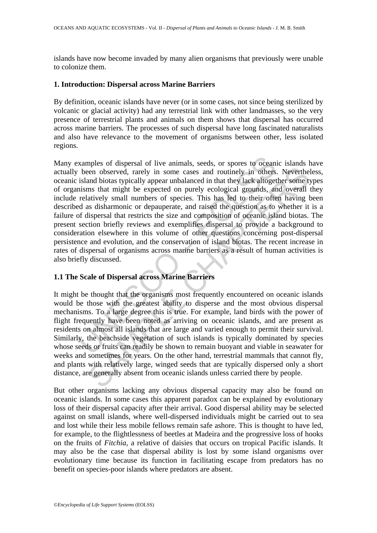islands have now become invaded by many alien organisms that previously were unable to colonize them.

#### **1. Introduction: Dispersal across Marine Barriers**

By definition, oceanic islands have never (or in some cases, not since being sterilized by volcanic or glacial activity) had any terrestrial link with other landmasses, so the very presence of terrestrial plants and animals on them shows that dispersal has occurred across marine barriers. The processes of such dispersal have long fascinated naturalists and also have relevance to the movement of organisms between other, less isolated regions.

xamples of dispersal of live animals, seeds, or spores to oceani<br>been observed, rarely in some cases and routinely in others<br>island biotas typically appear unbalanced in that they lack altoget<br>nisms that might be expected en observed, rarely in some cases and routinely in others. Neverthe<br>ene observed, rarely in some cases and routinely in others. Neverthe<br>and biotas typically appear unbalanced in that they lack alfogether some t<br>and may th Many examples of dispersal of live animals, seeds, or spores to oceanic islands have actually been observed, rarely in some cases and routinely in others. Nevertheless, oceanic island biotas typically appear unbalanced in that they lack altogether some types of organisms that might be expected on purely ecological grounds, and overall they include relatively small numbers of species. This has led to their often having been described as disharmonic or depauperate, and raised the question as to whether it is a failure of dispersal that restricts the size and composition of oceanic island biotas. The present section briefly reviews and exemplifies dispersal to provide a background to consideration elsewhere in this volume of other questions concerning post-dispersal persistence and evolution, and the conservation of island biotas. The recent increase in rates of dispersal of organisms across marine barriers as a result of human activities is also briefly discussed.

## **1.1 The Scale of Dispersal across Marine Barriers**

It might be thought that the organisms most frequently encountered on oceanic islands would be those with the greatest ability to disperse and the most obvious dispersal mechanisms. To a large degree this is true. For example, land birds with the power of flight frequently have been noted as arriving on oceanic islands, and are present as residents on almost all islands that are large and varied enough to permit their survival. Similarly, the beachside vegetation of such islands is typically dominated by species whose seeds or fruits can readily be shown to remain buoyant and viable in seawater for weeks and sometimes for years. On the other hand, terrestrial mammals that cannot fly, and plants with relatively large, winged seeds that are typically dispersed only a short distance, are generally absent from oceanic islands unless carried there by people.

But other organisms lacking any obvious dispersal capacity may also be found on oceanic islands. In some cases this apparent paradox can be explained by evolutionary loss of their dispersal capacity after their arrival. Good dispersal ability may be selected against on small islands, where well-dispersed individuals might be carried out to sea and lost while their less mobile fellows remain safe ashore. This is thought to have led, for example, to the flightlessness of beetles at Madeira and the progressive loss of hooks on the fruits of *Fitchia*, a relative of daisies that occurs on tropical Pacific islands. It may also be the case that dispersal ability is lost by some island organisms over evolutionary time because its function in facilitating escape from predators has no benefit on species-poor islands where predators are absent.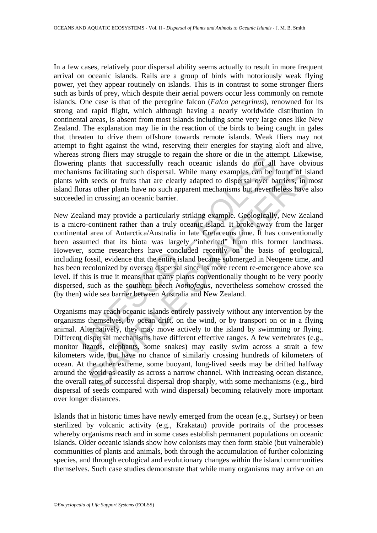In a few cases, relatively poor dispersal ability seems actually to result in more frequent arrival on oceanic islands. Rails are a group of birds with notoriously weak flying power, yet they appear routinely on islands. This is in contrast to some stronger fliers such as birds of prey, which despite their aerial powers occur less commonly on remote islands. One case is that of the peregrine falcon (*Falco peregrinus*), renowned for its strong and rapid flight, which although having a nearly worldwide distribution in continental areas, is absent from most islands including some very large ones like New Zealand. The explanation may lie in the reaction of the birds to being caught in gales that threaten to drive them offshore towards remote islands. Weak fliers may not attempt to fight against the wind, reserving their energies for staying aloft and alive, whereas strong fliers may struggle to regain the shore or die in the attempt. Likewise, flowering plants that successfully reach oceanic islands do not all have obvious mechanisms facilitating such dispersal. While many examples can be found of island plants with seeds or fruits that are clearly adapted to dispersal over barriers, in most island floras other plants have no such apparent mechanisms but nevertheless have also succeeded in crossing an oceanic barrier.

Studing misst may studied by expect to regain the since of the mit the antiest may studied by plants that successfully reach oceanic islands do not all<br>isms facilitating such dispersal. While many examples can be fivith se is facilitating such dispersal. While many examples can be found of is<br>is facilitating such dispersal. While many examples can be found of is<br>is eacls or fruits that are clearly adapted to dispersal over barriers, in<br>in cr New Zealand may provide a particularly striking example. Geologically, New Zealand is a micro-continent rather than a truly oceanic island. It broke away from the larger continental area of Antarctica/Australia in late Cretaceous time. It has conventionally been assumed that its biota was largely "inherited" from this former landmass. However, some researchers have concluded recently on the basis of geological, including fossil, evidence that the entire island became submerged in Neogene time, and has been recolonized by oversea dispersal since its more recent re-emergence above sea level. If this is true it means that many plants conventionally thought to be very poorly dispersed, such as the southern beech *Nothofagus*, nevertheless somehow crossed the (by then) wide sea barrier between Australia and New Zealand.

Organisms may reach oceanic islands entirely passively without any intervention by the organisms themselves, by ocean drift, on the wind, or by transport on or in a flying animal. Alternatively, they may move actively to the island by swimming or flying. Different dispersal mechanisms have different effective ranges. A few vertebrates (e.g., monitor lizards, elephants, some snakes) may easily swim across a strait a few kilometers wide, but have no chance of similarly crossing hundreds of kilometers of ocean. At the other extreme, some buoyant, long-lived seeds may be drifted halfway around the world as easily as across a narrow channel. With increasing ocean distance, the overall rates of successful dispersal drop sharply, with some mechanisms (e.g., bird dispersal of seeds compared with wind dispersal) becoming relatively more important over longer distances.

Islands that in historic times have newly emerged from the ocean (e.g., Surtsey) or been sterilized by volcanic activity (e.g., Krakatau) provide portraits of the processes whereby organisms reach and in some cases establish permanent populations on oceanic islands. Older oceanic islands show how colonists may then form stable (but vulnerable) communities of plants and animals, both through the accumulation of further colonizing species, and through ecological and evolutionary changes within the island communities themselves. Such case studies demonstrate that while many organisms may arrive on an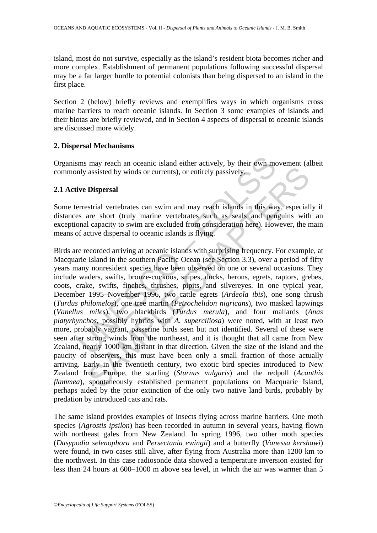island, most do not survive, especially as the island's resident biota becomes richer and more complex. Establishment of permanent populations following successful dispersal may be a far larger hurdle to potential colonists than being dispersed to an island in the first place.

Section 2 (below) briefly reviews and exemplifies ways in which organisms cross marine barriers to reach oceanic islands. In Section 3 some examples of islands and their biotas are briefly reviewed, and in Section 4 aspects of dispersal to oceanic islands are discussed more widely.

#### **2. Dispersal Mechanisms**

Organisms may reach an oceanic island either actively, by their own movement (albeit commonly assisted by winds or currents), or entirely passively.

#### **2.1 Active Dispersal**

Some terrestrial vertebrates can swim and may reach islands in this way, especially if distances are short (truly marine vertebrates such as seals and penguins with an exceptional capacity to swim are excluded from consideration here). However, the main means of active dispersal to oceanic islands is flying.

ms may reach an oceanic island either actively, by their own meanly assisted by winds or currents), or entirely passively.<br> **EVALUATE:**<br> **EVALUATE:**<br> **EVALUATE:**<br> **EVALUATE:**<br> **EVALUATE:**<br> **EVALUATE:**<br> **EVALUATE:**<br> **EVALUA** assisted by winds or currents), or entirely passively.<br> **Dispersal**<br>
Strial vertebrates can swim and may reach islands in this way, especial<br>
are short (truly marine vertebrates such as seals and penguins with<br>
l capacity Birds are recorded arriving at oceanic islands with surprising frequency. For example, at Macquarie Island in the southern Pacific Ocean (see Section 3.3), over a period of fifty years many nonresident species have been observed on one or several occasions. They include waders, swifts, bronze-cuckoos, snipes, ducks, herons, egrets, raptors, grebes, coots, crake, swifts, finches, thrushes, pipits, and silvereyes. In one typical year, December 1995–November 1996, two cattle egrets (*Ardeola ibis*), one song thrush (*Turdus philomelos*), one tree martin (*Petrochelidon nigricans*), two masked lapwings (*Vanellus miles*), two blackbirds (*Turdus merula*), and four mallards (*Anas platyrhynchos*, possibly hybrids with *A. superciliosa*) were noted, with at least two more, probably vagrant, passerine birds seen but not identified. Several of these were seen after strong winds from the northeast, and it is thought that all came from New Zealand, nearly 1000 km distant in that direction. Given the size of the island and the paucity of observers, this must have been only a small fraction of those actually arriving. Early in the twentieth century, two exotic bird species introduced to New Zealand from Europe, the starling (*Sturnus vulgaris*) and the redpoll (*Acanthis flammea*), spontaneously established permanent populations on Macquarie Island, perhaps aided by the prior extinction of the only two native land birds, probably by predation by introduced cats and rats.

The same island provides examples of insects flying across marine barriers. One moth species (*Agrostis ipsilon*) has been recorded in autumn in several years, having flown with northeast gales from New Zealand. In spring 1996, two other moth species (*Dasypodia selenophora* and *Persectania ewingii*) and a butterfly (*Vanessa kershawi*) were found, in two cases still alive, after flying from Australia more than 1200 km to the northwest. In this case radiosonde data showed a temperature inversion existed for less than 24 hours at 600–1000 m above sea level, in which the air was warmer than 5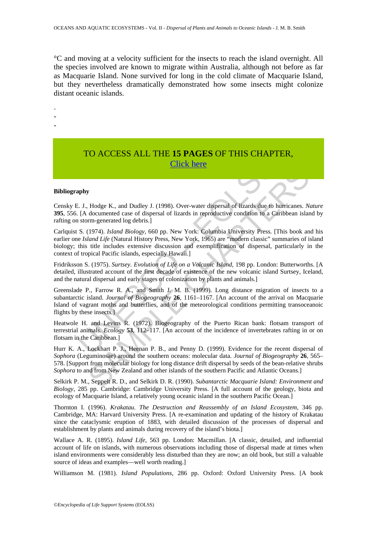°C and moving at a velocity sufficient for the insects to reach the island overnight. All the species involved are known to migrate within Australia, although not before as far as Macquarie Island. None survived for long in the cold climate of Macquarie Island, but they nevertheless dramatically demonstrated how some insects might colonize distant oceanic islands.

-

- -
- -

# TO ACCESS ALL THE **15 PAGES** OF THIS CHAPTER, Click here

#### **Bibliography**

Censky E. J., Hodge K., and Dudley J. (1998). Over-water dispersal of lizards due to hurricanes. *Nature* **395**, 556. [A documented case of dispersal of lizards in reproductive condition to a Caribbean island by rafting on storm-generated log debris.]

Carlquist S. (1974). *Island Biology*, 660 pp. New York: Columbia University Press. [This book and his earlier one *Island Life* (Natural History Press, New York, 1965) are "modern classic" summaries of island biology; this title includes extensive discussion and exemplification of dispersal, particularly in the context of tropical Pacific islands, especially Hawaii.]

Fridriksson S. (1975). *Surtsey. Evolution of Life on a Volcanic Island*, 198 pp. London: Butterworths. [A detailed, illustrated account of the first decade of existence of the new volcanic island Surtsey, Iceland, and the natural dispersal and early stages of colonization by plants and animals.]

Click here<br>
Click here<br>
2. J., Hodge K., and Dudley J. (1998). Over-water dispersal of lizards due to 1<br>
[A documented case of dispersal of lizards in reproductive condition to a Ca<br>
1. U., Hodge K., and Dudley J. (1998). Greenslade P., Farrow R. A., and Smith J. M. B. (1999). Long distance migration of insects to a subantarctic island. *Journal of Biogeography* **26**, 1161–1167. [An account of the arrival on Macquarie Island of vagrant moths and butterflies, and of the meteorological conditions permitting transoceanoic flights by these insects.]

Heatwole H. and Levins R. (1972). Biogeography of the Puerto Rican bank: flotsam transport of terrestrial animals. *Ecology* **53**, 112–117. [An account of the incidence of invertebrates rafting in or on flotsam in the Caribbean.]

**EXECUTE:**<br> **SET ALTERT ANDER CONDITE CONSTITUTION**<br> **SET ALTERT ANDEL CONDITION** IS and Dudley J. (1998). Over-water dispersal of hizards due to hurricanes. M<br>
documented case of dispersal of lizards in reproductive cond Hurr K. A., Lockhart P. J., Heenan P. B., and Penny D. (1999). Evidence for the recent dispersal of *Sophora* (Leguminosae) around the southern oceans: molecular data. *Journal of Biogeography* **26**, 565– 578. [Support from molecular biology for long distance drift dispersal by seeds of the bean-relative shrubs *Sophora* to and from New Zealand and other islands of the southern Pacific and Atlantic Oceans.]

Selkirk P. M., Seppelt R. D., and Selkirk D. R. (1990). *Subantarctic Macquarie Island: Environment and Biology*, 285 pp. Cambridge: Cambridge University Press. [A full account of the geology, biota and ecology of Macquarie Island, a relatively young oceanic island in the southern Pacific Ocean.]

Thornton I. (1996). *Krakatau. The Destruction and Reassembly of an Island Ecosystem*, 346 pp. Cambridge, MA: Harvard University Press. [A re-examination and updating of the history of Krakatau since the cataclysmic eruption of 1883, with detailed discussion of the processes of dispersal and establishment by plants and animals during recovery of the island's biota.]

Wallace A. R. (1895). *Island Life*, 563 pp. London: Macmillan. [A classic, detailed, and influential account of life on islands, with numerous observations including those of dispersal made at times when island environments were considerably less disturbed than they are now; an old book, but still a valuable source of ideas and examples—well worth reading.]

Williamson M. (1981). *Island Populations*, 286 pp. Oxford: Oxford University Press. [A book